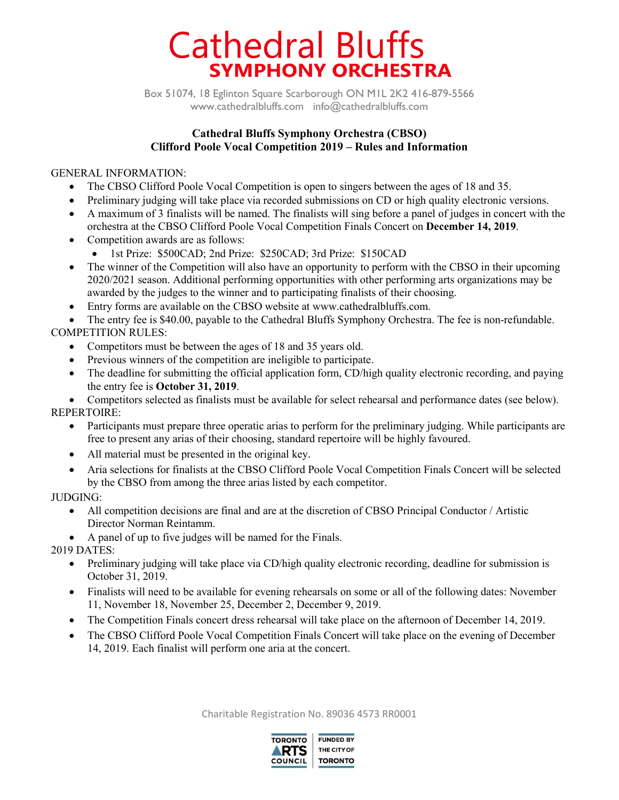# **Cathedral Bluffs SYMPHONY ORCHESTRA**

Box 51074, 18 Eglinton Square Scarborough ON M1L 2K2 416-879-5566 www.cathedralbluffs.com info@cathedralbluffs.com

### **Cathedral Bluffs Symphony Orchestra (CBSO) Clifford Poole Vocal Competition 2019 – Rules and Information**

### GENERAL INFORMATION:

- The CBSO Clifford Poole Vocal Competition is open to singers between the ages of 18 and 35.
- Preliminary judging will take place via recorded submissions on CD or high quality electronic versions.
- A maximum of 3 finalists will be named. The finalists will sing before a panel of judges in concert with the orchestra at the CBSO Clifford Poole Vocal Competition Finals Concert on **December 14, 2019**.
- Competition awards are as follows:
	- 1st Prize: \$500CAD; 2nd Prize: \$250CAD; 3rd Prize: \$150CAD
- The winner of the Competition will also have an opportunity to perform with the CBSO in their upcoming 2020/2021 season. Additional performing opportunities with other performing arts organizations may be awarded by the judges to the winner and to participating finalists of their choosing.
- Entry forms are available on the CBSO website at www.cathedralbluffs.com.

• The entry fee is \$40.00, payable to the Cathedral Bluffs Symphony Orchestra. The fee is non-refundable. COMPETITION RULES:

- Competitors must be between the ages of 18 and 35 years old.
- Previous winners of the competition are ineligible to participate.
- The deadline for submitting the official application form, CD/high quality electronic recording, and paying the entry fee is **October 31, 2019**.

• Competitors selected as finalists must be available for select rehearsal and performance dates (see below). REPERTOIRE:

- Participants must prepare three operatic arias to perform for the preliminary judging. While participants are free to present any arias of their choosing, standard repertoire will be highly favoured.
- All material must be presented in the original key.
- Aria selections for finalists at the CBSO Clifford Poole Vocal Competition Finals Concert will be selected by the CBSO from among the three arias listed by each competitor.

### JUDGING:

- All competition decisions are final and are at the discretion of CBSO Principal Conductor / Artistic Director Norman Reintamm.
- A panel of up to five judges will be named for the Finals.

2019 DATES:

- Preliminary judging will take place via CD/high quality electronic recording, deadline for submission is October 31, 2019.
- Finalists will need to be available for evening rehearsals on some or all of the following dates: November 11, November 18, November 25, December 2, December 9, 2019.
- The Competition Finals concert dress rehearsal will take place on the afternoon of December 14, 2019.
- The CBSO Clifford Poole Vocal Competition Finals Concert will take place on the evening of December 14, 2019. Each finalist will perform one aria at the concert.

Charitable Registration No. 89036 4573 RR0001